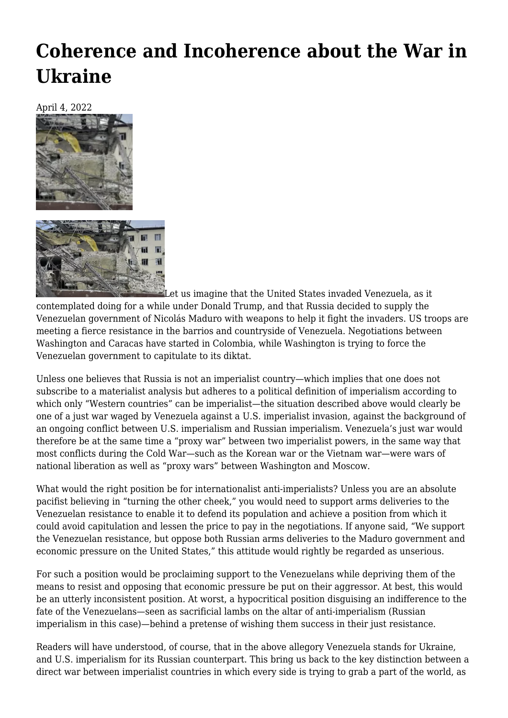## **[Coherence and Incoherence about the War in](https://newpol.org/coherence-and-incoherence-about-the-war-in-ukraine/) [Ukraine](https://newpol.org/coherence-and-incoherence-about-the-war-in-ukraine/)**

April 4, 2022



Let us imagine that the United States invaded Venezuela, as it contemplated doing for a while under Donald Trump, and that Russia decided to supply the Venezuelan government of Nicolás Maduro with weapons to help it fight the invaders. US troops are meeting a fierce resistance in the barrios and countryside of Venezuela. Negotiations between Washington and Caracas have started in Colombia, while Washington is trying to force the Venezuelan government to capitulate to its diktat.

Unless one believes that Russia is not an imperialist country—which implies that one does not subscribe to a materialist analysis but adheres to a political definition of imperialism according to which only "Western countries" can be imperialist—the situation described above would clearly be one of a just war waged by Venezuela against a U.S. imperialist invasion, against the background of an ongoing conflict between U.S. imperialism and Russian imperialism. Venezuela's just war would therefore be at the same time a "proxy war" between two imperialist powers, in the same way that most conflicts during the Cold War—such as the Korean war or the Vietnam war—were wars of national liberation as well as "proxy wars" between Washington and Moscow.

What would the right position be for internationalist anti-imperialists? Unless you are an absolute pacifist believing in "turning the other cheek," you would need to support arms deliveries to the Venezuelan resistance to enable it to defend its population and achieve a position from which it could avoid capitulation and lessen the price to pay in the negotiations. If anyone said, "We support the Venezuelan resistance, but oppose both Russian arms deliveries to the Maduro government and economic pressure on the United States," this attitude would rightly be regarded as unserious.

For such a position would be proclaiming support to the Venezuelans while depriving them of the means to resist and opposing that economic pressure be put on their aggressor. At best, this would be an utterly inconsistent position. At worst, a hypocritical position disguising an indifference to the fate of the Venezuelans—seen as sacrificial lambs on the altar of anti-imperialism (Russian imperialism in this case)—behind a pretense of wishing them success in their just resistance.

Readers will have understood, of course, that in the above allegory Venezuela stands for Ukraine, and U.S. imperialism for its Russian counterpart. This bring us back to the key distinction between a direct war between imperialist countries in which every side is trying to grab a part of the world, as